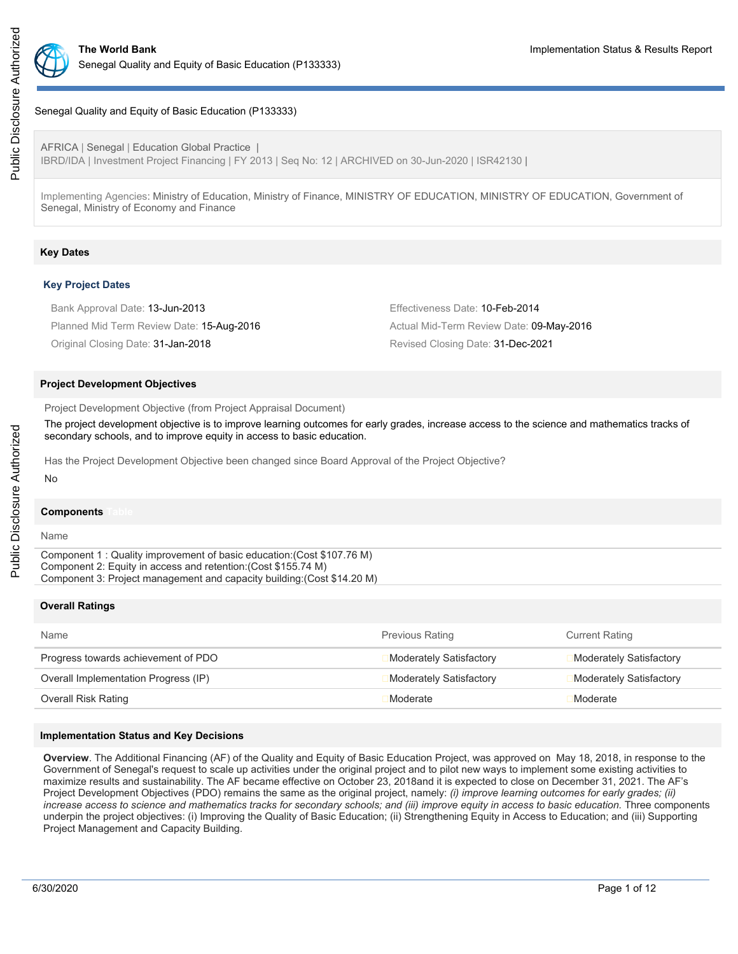

## Senegal Quality and Equity of Basic Education (P133333)

AFRICA | Senegal | Education Global Practice | IBRD/IDA | Investment Project Financing | FY 2013 | Seq No: 12 | ARCHIVED on 30-Jun-2020 | ISR42130 |

Implementing Agencies: Ministry of Education, Ministry of Finance, MINISTRY OF EDUCATION, MINISTRY OF EDUCATION, Government of Senegal, Ministry of Economy and Finance

## **Key Dates**

#### **Key Project Dates**

| Bank Approval Date: 13-Jun-2013           | Effectiveness Date: 10-Feb-2014          |
|-------------------------------------------|------------------------------------------|
| Planned Mid Term Review Date: 15-Aug-2016 | Actual Mid-Term Review Date: 09-May-2016 |
| Original Closing Date: 31-Jan-2018        | Revised Closing Date: 31-Dec-2021        |

#### **Project Development Objectives**

Project Development Objective (from Project Appraisal Document)

The project development objective is to improve learning outcomes for early grades, increase access to the science and mathematics tracks of secondary schools, and to improve equity in access to basic education.

Has the Project Development Objective been changed since Board Approval of the Project Objective?

#### **Components**

Name

No

Component 1 : Quality improvement of basic education:(Cost \$107.76 M) Component 2: Equity in access and retention:(Cost \$155.74 M) Component 3: Project management and capacity building:(Cost \$14.20 M)

#### **Overall Ratings**

| Name                                 | <b>Previous Rating</b>         | <b>Current Rating</b>   |
|--------------------------------------|--------------------------------|-------------------------|
| Progress towards achievement of PDO  | Moderately Satisfactory        | Moderately Satisfactory |
| Overall Implementation Progress (IP) | <b>Moderately Satisfactory</b> | Moderately Satisfactory |
| Overall Risk Rating                  | Moderate                       | Moderate                |

### **Implementation Status and Key Decisions**

**Overview**. The Additional Financing (AF) of the Quality and Equity of Basic Education Project, was approved on May 18, 2018, in response to the Government of Senegal's request to scale up activities under the original project and to pilot new ways to implement some existing activities to maximize results and sustainability. The AF became effective on October 23, 2018and it is expected to close on December 31, 2021. The AF's Project Development Objectives (PDO) remains the same as the original project, namely: *(i) improve learning outcomes for early grades; (ii) increase access to science and mathematics tracks for secondary schools; and (iii) improve equity in access to basic education.* Three components underpin the project objectives: (i) Improving the Quality of Basic Education; (ii) Strengthening Equity in Access to Education; and (iii) Supporting Project Management and Capacity Building.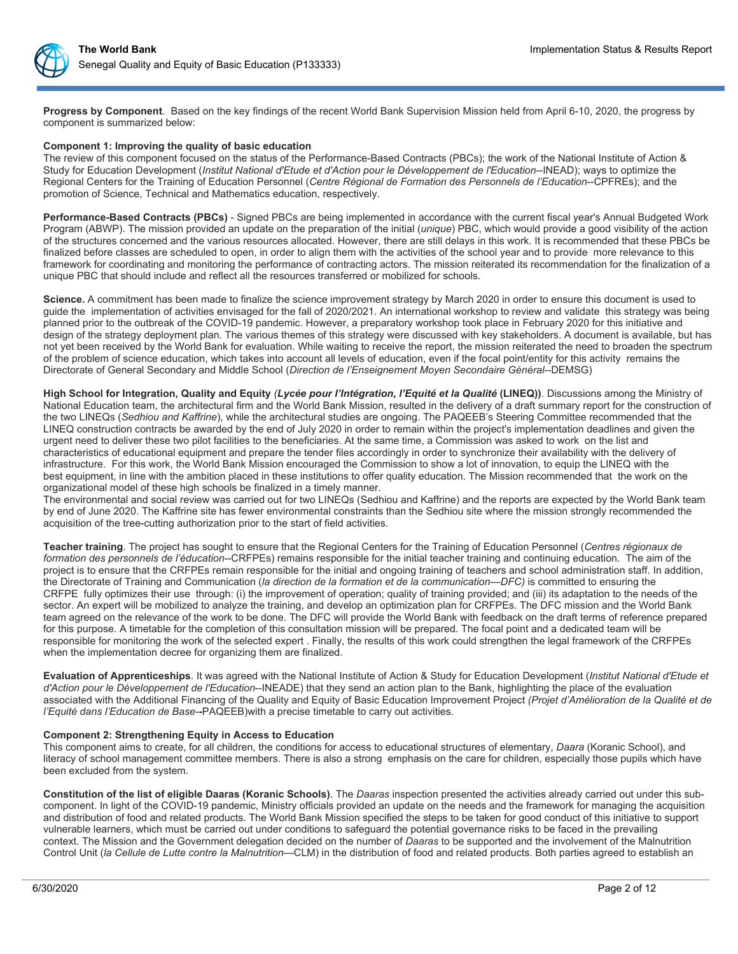**Progress by Component**. Based on the key findings of the recent World Bank Supervision Mission held from April 6-10, 2020, the progress by component is summarized below:

### **Component 1: Improving the quality of basic education**

The review of this component focused on the status of the Performance-Based Contracts (PBCs); the work of the National Institute of Action & Study for Education Development (*Institut National d'Etude et d'Action pour le Développement de l'Education*--INEAD); ways to optimize the Regional Centers for the Training of Education Personnel (*Centre Régional de Formation des Personnels de l'Education*--CPFREs); and the promotion of Science, Technical and Mathematics education, respectively.

**Performance-Based Contracts (PBCs)** - Signed PBCs are being implemented in accordance with the current fiscal year's Annual Budgeted Work Program (ABWP). The mission provided an update on the preparation of the initial (*unique*) PBC, which would provide a good visibility of the action of the structures concerned and the various resources allocated. However, there are still delays in this work. It is recommended that these PBCs be finalized before classes are scheduled to open, in order to align them with the activities of the school year and to provide more relevance to this framework for coordinating and monitoring the performance of contracting actors. The mission reiterated its recommendation for the finalization of a unique PBC that should include and reflect all the resources transferred or mobilized for schools.

**Science.** A commitment has been made to finalize the science improvement strategy by March 2020 in order to ensure this document is used to guide the implementation of activities envisaged for the fall of 2020/2021. An international workshop to review and validate this strategy was being planned prior to the outbreak of the COVID-19 pandemic. However, a preparatory workshop took place in February 2020 for this initiative and design of the strategy deployment plan. The various themes of this strategy were discussed with key stakeholders. A document is available, but has not yet been received by the World Bank for evaluation. While waiting to receive the report, the mission reiterated the need to broaden the spectrum of the problem of science education, which takes into account all levels of education, even if the focal point/entity for this activity remains the Directorate of General Secondary and Middle School (*Direction de l'Enseignement Moyen Secondaire Général*--DEMSG)

**High School for Integration, Quality and Equity** *(Lycée pour l'Intégration, l'Equité et la Qualité* **(LINEQ))**. Discussions among the Ministry of National Education team, the architectural firm and the World Bank Mission, resulted in the delivery of a draft summary report for the construction of the two LINEQs (*Sedhiou and Kaffrine*), while the architectural studies are ongoing. The PAQEEB's Steering Committee recommended that the LINEQ construction contracts be awarded by the end of July 2020 in order to remain within the project's implementation deadlines and given the urgent need to deliver these two pilot facilities to the beneficiaries. At the same time, a Commission was asked to work on the list and characteristics of educational equipment and prepare the tender files accordingly in order to synchronize their availability with the delivery of infrastructure. For this work, the World Bank Mission encouraged the Commission to show a lot of innovation, to equip the LINEQ with the best equipment, in line with the ambition placed in these institutions to offer quality education. The Mission recommended that the work on the organizational model of these high schools be finalized in a timely manner.

The environmental and social review was carried out for two LINEQs (Sedhiou and Kaffrine) and the reports are expected by the World Bank team by end of June 2020. The Kaffrine site has fewer environmental constraints than the Sedhiou site where the mission strongly recommended the acquisition of the tree-cutting authorization prior to the start of field activities.

**Teacher training**. The project has sought to ensure that the Regional Centers for the Training of Education Personnel (*Centres régionaux de formation des personnels de l'éducation*--CRFPEs) remains responsible for the initial teacher training and continuing education. The aim of the project is to ensure that the CRFPEs remain responsible for the initial and ongoing training of teachers and school administration staff. In addition, the Directorate of Training and Communication (*la direction de la formation et de la communication—DFC)* is committed to ensuring the CRFPE fully optimizes their use through: (i) the improvement of operation; quality of training provided; and (iii) its adaptation to the needs of the sector. An expert will be mobilized to analyze the training, and develop an optimization plan for CRFPEs. The DFC mission and the World Bank team agreed on the relevance of the work to be done. The DFC will provide the World Bank with feedback on the draft terms of reference prepared for this purpose. A timetable for the completion of this consultation mission will be prepared. The focal point and a dedicated team will be responsible for monitoring the work of the selected expert . Finally, the results of this work could strengthen the legal framework of the CRFPEs when the implementation decree for organizing them are finalized.

**Evaluation of Apprenticeships**. It was agreed with the National Institute of Action & Study for Education Development (*Institut National d'Etude et d'Action pour le Développement de l'Education*--INEADE) that they send an action plan to the Bank, highlighting the place of the evaluation associated with the Additional Financing of the Quality and Equity of Basic Education Improvement Project *(Projet d'Amélioration de la Qualité et de l'Equité dans l'Education de Base--*PAQEEB)with a precise timetable to carry out activities.

## **Component 2: Strengthening Equity in Access to Education**

This component aims to create, for all children, the conditions for access to educational structures of elementary, *Daara* (Koranic School), and literacy of school management committee members. There is also a strong emphasis on the care for children, especially those pupils which have been excluded from the system.

**Constitution of the list of eligible Daaras (Koranic Schools)**. The *Daaras* inspection presented the activities already carried out under this subcomponent. In light of the COVID-19 pandemic, Ministry officials provided an update on the needs and the framework for managing the acquisition and distribution of food and related products. The World Bank Mission specified the steps to be taken for good conduct of this initiative to support vulnerable learners, which must be carried out under conditions to safeguard the potential governance risks to be faced in the prevailing context. The Mission and the Government delegation decided on the number of *Daaras* to be supported and the involvement of the Malnutrition Control Unit (*la Cellule de Lutte contre la Malnutrition*—CLM) in the distribution of food and related products. Both parties agreed to establish an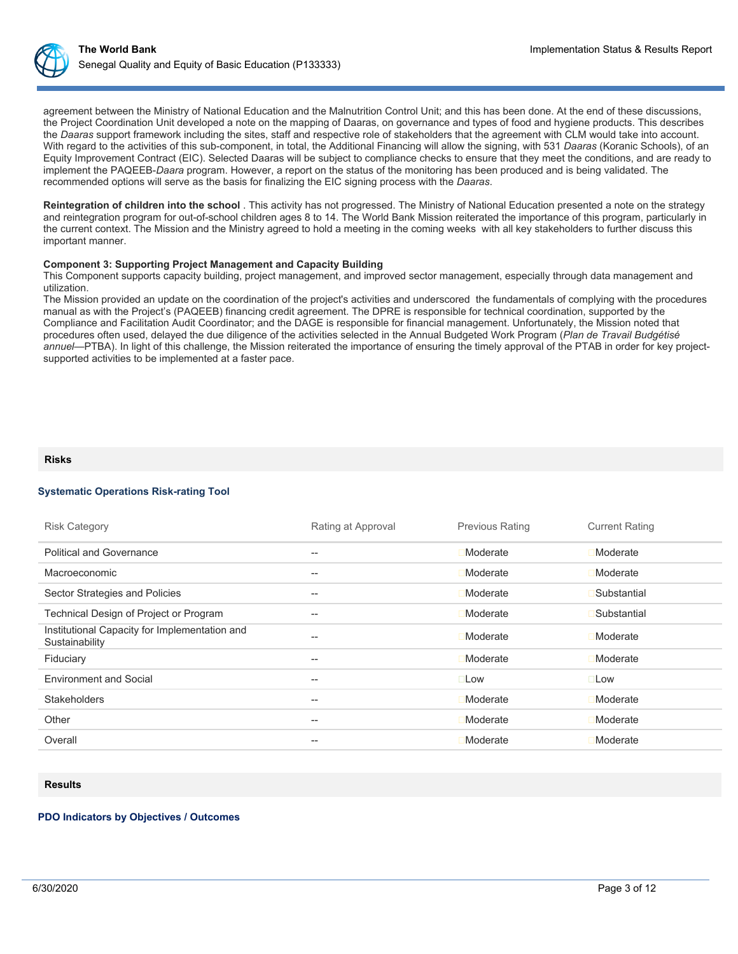agreement between the Ministry of National Education and the Malnutrition Control Unit; and this has been done. At the end of these discussions, the Project Coordination Unit developed a note on the mapping of Daaras, on governance and types of food and hygiene products. This describes the *Daaras* support framework including the sites, staff and respective role of stakeholders that the agreement with CLM would take into account. With regard to the activities of this sub-component, in total, the Additional Financing will allow the signing, with 531 *Daaras* (Koranic Schools), of an Equity Improvement Contract (EIC). Selected Daaras will be subject to compliance checks to ensure that they meet the conditions, and are ready to implement the PAQEEB-*Daara* program. However, a report on the status of the monitoring has been produced and is being validated. The recommended options will serve as the basis for finalizing the EIC signing process with the *Daaras*.

**Reintegration of children into the school** . This activity has not progressed. The Ministry of National Education presented a note on the strategy and reintegration program for out-of-school children ages 8 to 14. The World Bank Mission reiterated the importance of this program, particularly in the current context. The Mission and the Ministry agreed to hold a meeting in the coming weeks with all key stakeholders to further discuss this important manner.

## **Component 3: Supporting Project Management and Capacity Building**

This Component supports capacity building, project management, and improved sector management, especially through data management and utilization.

The Mission provided an update on the coordination of the project's activities and underscored the fundamentals of complying with the procedures manual as with the Project's (PAQEEB) financing credit agreement. The DPRE is responsible for technical coordination, supported by the Compliance and Facilitation Audit Coordinator; and the DAGE is responsible for financial management. Unfortunately, the Mission noted that procedures often used, delayed the due diligence of the activities selected in the Annual Budgeted Work Program (*Plan de Travail Budgétisé annuel*—PTBA). In light of this challenge, the Mission reiterated the importance of ensuring the timely approval of the PTAB in order for key projectsupported activities to be implemented at a faster pace.

#### **Risks**

### **Systematic Operations Risk-rating Tool**

| <b>Risk Category</b>                                            | Rating at Approval | <b>Previous Rating</b> | <b>Current Rating</b> |
|-----------------------------------------------------------------|--------------------|------------------------|-----------------------|
| <b>Political and Governance</b>                                 | --                 | Moderate               | Moderate              |
| <b>Macroeconomic</b>                                            | --                 | Moderate               | Moderate              |
| Sector Strategies and Policies                                  | --                 | Moderate               | Substantial           |
| Technical Design of Project or Program                          | --                 | Moderate               | Substantial           |
| Institutional Capacity for Implementation and<br>Sustainability | --                 | Moderate               | Moderate              |
| Fiduciary                                                       | --                 | Moderate               | Moderate              |
| <b>Environment and Social</b>                                   | --                 | $\square$ Low          | $\square$ Low         |
| <b>Stakeholders</b>                                             | --                 | Moderate               | Moderate              |
| Other                                                           | --                 | Moderate               | Moderate              |
| Overall                                                         | --                 | Moderate               | Moderate              |
|                                                                 |                    |                        |                       |

#### **Results**

### **PDO Indicators by Objectives / Outcomes**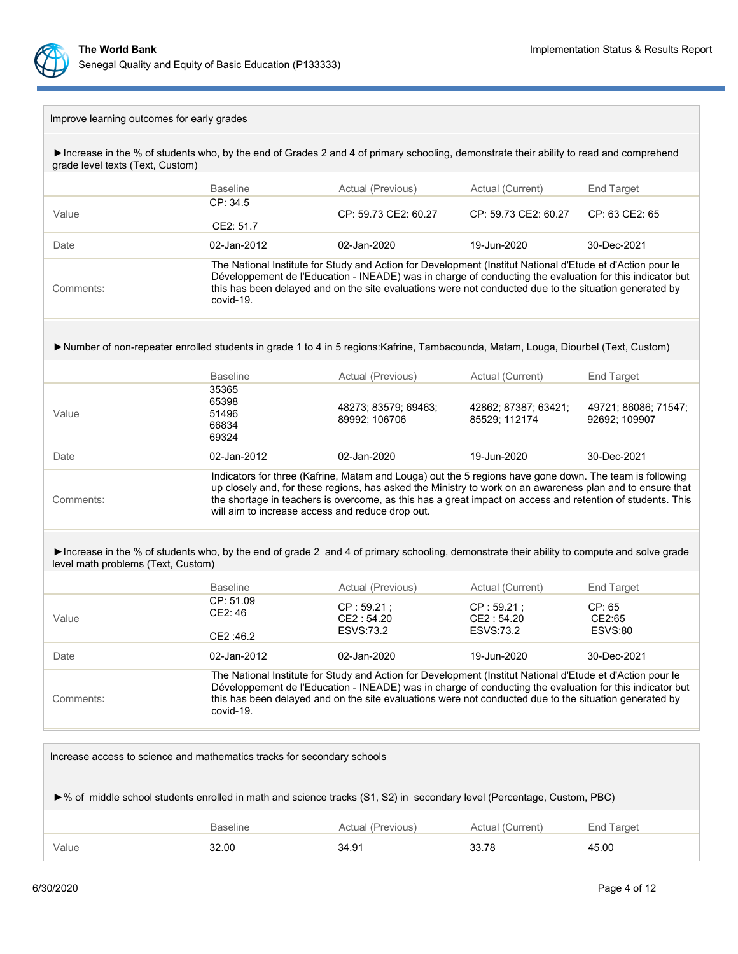

# Improve learning outcomes for early grades

►Increase in the % of students who, by the end of Grades 2 and 4 of primary schooling, demonstrate their ability to read and comprehend grade level texts (Text, Custom)

|                                                                                                                                                                                 | <b>Baseline</b>                                                                                                                                                                                                                                                                                                                                                                        | Actual (Previous)                                                                                                                                                                                                                                                                                                                | Actual (Current)                             | <b>End Target</b>                     |  |
|---------------------------------------------------------------------------------------------------------------------------------------------------------------------------------|----------------------------------------------------------------------------------------------------------------------------------------------------------------------------------------------------------------------------------------------------------------------------------------------------------------------------------------------------------------------------------------|----------------------------------------------------------------------------------------------------------------------------------------------------------------------------------------------------------------------------------------------------------------------------------------------------------------------------------|----------------------------------------------|---------------------------------------|--|
| Value                                                                                                                                                                           | CP: 34.5<br>CE2: 51.7                                                                                                                                                                                                                                                                                                                                                                  | CP: 59.73 CE2: 60.27                                                                                                                                                                                                                                                                                                             | CP: 59.73 CE2: 60.27                         | CP: 63 CE2: 65                        |  |
| Date                                                                                                                                                                            | 02-Jan-2012                                                                                                                                                                                                                                                                                                                                                                            | 02-Jan-2020                                                                                                                                                                                                                                                                                                                      | 19-Jun-2020                                  | 30-Dec-2021                           |  |
| Comments:                                                                                                                                                                       | covid-19.                                                                                                                                                                                                                                                                                                                                                                              | The National Institute for Study and Action for Development (Institut National d'Etude et d'Action pour le<br>Développement de l'Education - INEADE) was in charge of conducting the evaluation for this indicator but<br>this has been delayed and on the site evaluations were not conducted due to the situation generated by |                                              |                                       |  |
| >Number of non-repeater enrolled students in grade 1 to 4 in 5 regions: Kafrine, Tambacounda, Matam, Louga, Diourbel (Text, Custom)                                             |                                                                                                                                                                                                                                                                                                                                                                                        |                                                                                                                                                                                                                                                                                                                                  |                                              |                                       |  |
|                                                                                                                                                                                 | <b>Baseline</b>                                                                                                                                                                                                                                                                                                                                                                        | Actual (Previous)                                                                                                                                                                                                                                                                                                                | Actual (Current)                             | End Target                            |  |
| Value                                                                                                                                                                           | 35365<br>65398<br>51496<br>66834<br>69324                                                                                                                                                                                                                                                                                                                                              | 48273; 83579; 69463;<br>89992; 106706                                                                                                                                                                                                                                                                                            | 42862; 87387; 63421;<br>85529; 112174        | 49721; 86086; 71547;<br>92692; 109907 |  |
| Date                                                                                                                                                                            | 02-Jan-2012                                                                                                                                                                                                                                                                                                                                                                            | 02-Jan-2020                                                                                                                                                                                                                                                                                                                      | 19-Jun-2020                                  | 30-Dec-2021                           |  |
| Comments:                                                                                                                                                                       | Indicators for three (Kafrine, Matam and Louga) out the 5 regions have gone down. The team is following<br>up closely and, for these regions, has asked the Ministry to work on an awareness plan and to ensure that<br>the shortage in teachers is overcome, as this has a great impact on access and retention of students. This<br>will aim to increase access and reduce drop out. |                                                                                                                                                                                                                                                                                                                                  |                                              |                                       |  |
| Increase in the % of students who, by the end of grade 2 and 4 of primary schooling, demonstrate their ability to compute and solve grade<br>level math problems (Text, Custom) |                                                                                                                                                                                                                                                                                                                                                                                        |                                                                                                                                                                                                                                                                                                                                  |                                              |                                       |  |
|                                                                                                                                                                                 | <b>Baseline</b>                                                                                                                                                                                                                                                                                                                                                                        | Actual (Previous)                                                                                                                                                                                                                                                                                                                | Actual (Current)                             | End Target                            |  |
| Value                                                                                                                                                                           | CP: 51.09<br>CE2: 46<br>CE2:46.2                                                                                                                                                                                                                                                                                                                                                       | CP: 59.21;<br>CE2:54.20<br><b>ESVS:73.2</b>                                                                                                                                                                                                                                                                                      | CP: 59.21;<br>CE2: 54.20<br><b>ESVS:73.2</b> | CP: 65<br>CE2:65<br><b>ESVS:80</b>    |  |
| Date                                                                                                                                                                            | 02-Jan-2012                                                                                                                                                                                                                                                                                                                                                                            | 02-Jan-2020                                                                                                                                                                                                                                                                                                                      | 19-Jun-2020                                  | 30-Dec-2021                           |  |
| Comments:                                                                                                                                                                       | covid-19.                                                                                                                                                                                                                                                                                                                                                                              | The National Institute for Study and Action for Development (Institut National d'Etude et d'Action pour le<br>Développement de l'Education - INEADE) was in charge of conducting the evaluation for this indicator but<br>this has been delayed and on the site evaluations were not conducted due to the situation generated by |                                              |                                       |  |

| Increase access to science and mathematics tracks for secondary schools                                                |       |       |       |       |  |  |
|------------------------------------------------------------------------------------------------------------------------|-------|-------|-------|-------|--|--|
| ►% of middle school students enrolled in math and science tracks (S1, S2) in secondary level (Percentage, Custom, PBC) |       |       |       |       |  |  |
| <b>Baseline</b><br>Actual (Previous)<br>Actual (Current)<br>End Target                                                 |       |       |       |       |  |  |
| Value                                                                                                                  | 32.00 | 34.91 | 33.78 | 45.00 |  |  |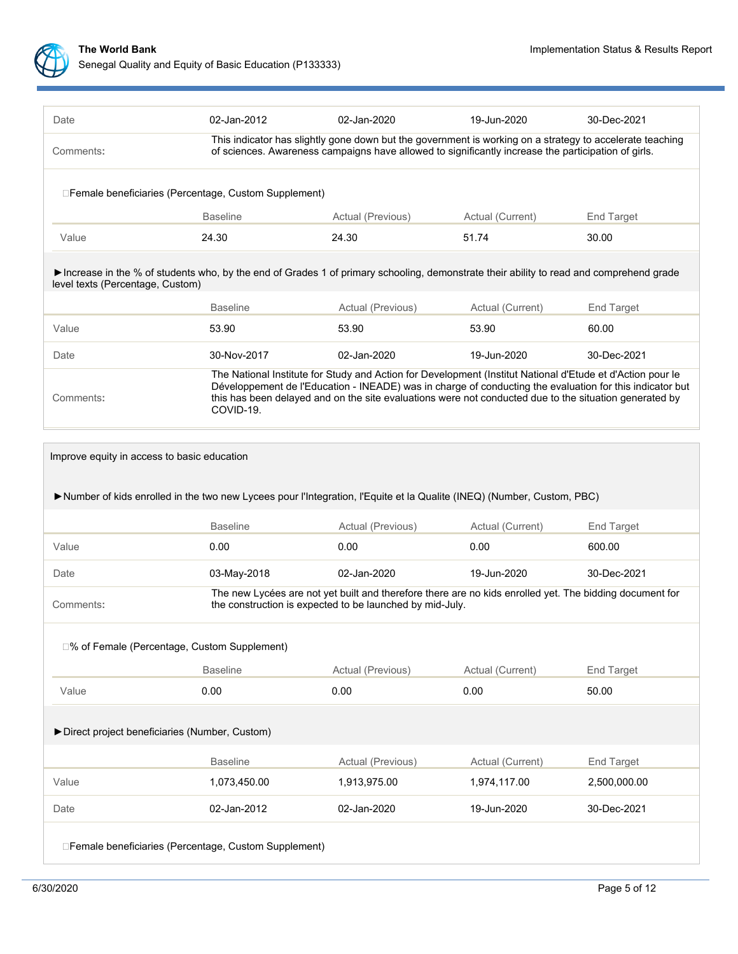

| Date                             | 02-Jan-2012                                                                                                                            | $02 - Jan-2020$                                                                                                                                                                                                                                                                                                                  | 19-Jun-2020      | 30-Dec-2021       |  |  |  |
|----------------------------------|----------------------------------------------------------------------------------------------------------------------------------------|----------------------------------------------------------------------------------------------------------------------------------------------------------------------------------------------------------------------------------------------------------------------------------------------------------------------------------|------------------|-------------------|--|--|--|
| Comments:                        |                                                                                                                                        | This indicator has slightly gone down but the government is working on a strategy to accelerate teaching<br>of sciences. Awareness campaigns have allowed to significantly increase the participation of girls.                                                                                                                  |                  |                   |  |  |  |
|                                  | □ Female beneficiaries (Percentage, Custom Supplement)                                                                                 |                                                                                                                                                                                                                                                                                                                                  |                  |                   |  |  |  |
|                                  | <b>Baseline</b>                                                                                                                        | Actual (Previous)                                                                                                                                                                                                                                                                                                                | Actual (Current) | <b>End Target</b> |  |  |  |
| Value                            | 24.30                                                                                                                                  | 24.30                                                                                                                                                                                                                                                                                                                            | 51.74            | 30.00             |  |  |  |
| level texts (Percentage, Custom) | Increase in the % of students who, by the end of Grades 1 of primary schooling, demonstrate their ability to read and comprehend grade |                                                                                                                                                                                                                                                                                                                                  |                  |                   |  |  |  |
|                                  | <b>Baseline</b>                                                                                                                        | Actual (Previous)                                                                                                                                                                                                                                                                                                                | Actual (Current) | End Target        |  |  |  |
| Value                            | 53.90                                                                                                                                  | 53.90                                                                                                                                                                                                                                                                                                                            | 53.90            | 60.00             |  |  |  |
| Date                             | 30-Nov-2017                                                                                                                            | 02-Jan-2020                                                                                                                                                                                                                                                                                                                      | 19-Jun-2020      | 30-Dec-2021       |  |  |  |
| Comments:                        | COVID-19.                                                                                                                              | The National Institute for Study and Action for Development (Institut National d'Etude et d'Action pour le<br>Développement de l'Education - INEADE) was in charge of conducting the evaluation for this indicator but<br>this has been delayed and on the site evaluations were not conducted due to the situation generated by |                  |                   |  |  |  |
|                                  | Improve equity in access to basic education                                                                                            |                                                                                                                                                                                                                                                                                                                                  |                  |                   |  |  |  |
|                                  | Number of kids enrolled in the two new Lycees pour l'Integration, l'Equite et la Qualite (INEQ) (Number, Custom, PBC)                  |                                                                                                                                                                                                                                                                                                                                  |                  |                   |  |  |  |
|                                  | <b>Baseline</b>                                                                                                                        | Actual (Previous)                                                                                                                                                                                                                                                                                                                | Actual (Current) | End Target        |  |  |  |
| Value                            | 0.00                                                                                                                                   | 0.00                                                                                                                                                                                                                                                                                                                             | 0.00             | 600.00            |  |  |  |
| Date                             | 03-May-2018                                                                                                                            | 02-Jan-2020                                                                                                                                                                                                                                                                                                                      | 19-Jun-2020      | 30-Dec-2021       |  |  |  |
| Comments:                        |                                                                                                                                        | The new Lycées are not yet built and therefore there are no kids enrolled yet. The bidding document for<br>the construction is expected to be launched by mid-July.                                                                                                                                                              |                  |                   |  |  |  |
|                                  | □% of Female (Percentage, Custom Supplement)                                                                                           |                                                                                                                                                                                                                                                                                                                                  |                  |                   |  |  |  |
|                                  | <b>Baseline</b>                                                                                                                        | Actual (Previous)                                                                                                                                                                                                                                                                                                                | Actual (Current) | End Target        |  |  |  |
| Value                            | 0.00                                                                                                                                   | 0.00                                                                                                                                                                                                                                                                                                                             | 0.00             | 50.00             |  |  |  |
|                                  |                                                                                                                                        |                                                                                                                                                                                                                                                                                                                                  |                  |                   |  |  |  |
|                                  | Direct project beneficiaries (Number, Custom)                                                                                          |                                                                                                                                                                                                                                                                                                                                  |                  |                   |  |  |  |
|                                  | <b>Baseline</b>                                                                                                                        | Actual (Previous)                                                                                                                                                                                                                                                                                                                | Actual (Current) | End Target        |  |  |  |
| Value                            | 1,073,450.00                                                                                                                           | 1,913,975.00                                                                                                                                                                                                                                                                                                                     | 1,974,117.00     | 2,500,000.00      |  |  |  |
| Date                             | 02-Jan-2012                                                                                                                            | 02-Jan-2020                                                                                                                                                                                                                                                                                                                      | 19-Jun-2020      | 30-Dec-2021       |  |  |  |
|                                  | □ Female beneficiaries (Percentage, Custom Supplement)                                                                                 |                                                                                                                                                                                                                                                                                                                                  |                  |                   |  |  |  |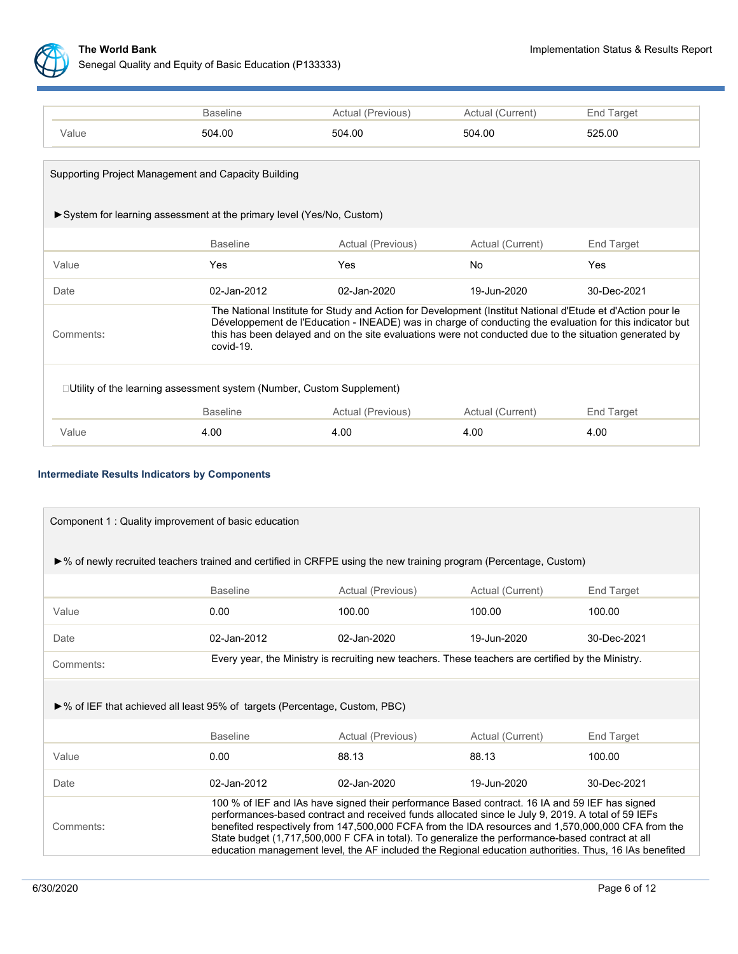

|                                                                              | <b>Baseline</b>                                                                                                                                                                                                                                                                                                                               | Actual (Previous) | Actual (Current) | End Target  |  |  |
|------------------------------------------------------------------------------|-----------------------------------------------------------------------------------------------------------------------------------------------------------------------------------------------------------------------------------------------------------------------------------------------------------------------------------------------|-------------------|------------------|-------------|--|--|
| Value                                                                        | 504.00                                                                                                                                                                                                                                                                                                                                        | 504.00            | 504.00           | 525.00      |  |  |
|                                                                              |                                                                                                                                                                                                                                                                                                                                               |                   |                  |             |  |  |
| Supporting Project Management and Capacity Building                          |                                                                                                                                                                                                                                                                                                                                               |                   |                  |             |  |  |
| ► System for learning assessment at the primary level (Yes/No, Custom)       |                                                                                                                                                                                                                                                                                                                                               |                   |                  |             |  |  |
|                                                                              | <b>Baseline</b>                                                                                                                                                                                                                                                                                                                               | Actual (Previous) | Actual (Current) | End Target  |  |  |
| Value                                                                        | Yes                                                                                                                                                                                                                                                                                                                                           | <b>Yes</b>        | <b>No</b>        | Yes         |  |  |
| Date                                                                         | 02-Jan-2012                                                                                                                                                                                                                                                                                                                                   | 02-Jan-2020       | 19-Jun-2020      | 30-Dec-2021 |  |  |
| Comments:                                                                    | The National Institute for Study and Action for Development (Institut National d'Etude et d'Action pour le<br>Développement de l'Education - INEADE) was in charge of conducting the evaluation for this indicator but<br>this has been delayed and on the site evaluations were not conducted due to the situation generated by<br>covid-19. |                   |                  |             |  |  |
| $\Box$ Utility of the learning assessment system (Number, Custom Supplement) |                                                                                                                                                                                                                                                                                                                                               |                   |                  |             |  |  |
|                                                                              | <b>Baseline</b>                                                                                                                                                                                                                                                                                                                               | Actual (Previous) | Actual (Current) | End Target  |  |  |
| Value                                                                        | 4.00                                                                                                                                                                                                                                                                                                                                          | 4.00              | 4.00             | 4.00        |  |  |

# **Intermediate Results Indicators by Components**

| Component 1: Quality improvement of basic education                                                                               |                 |                                                                                                                                                                                                                                                                                                                                                                                                                                                                                                                          |                  |                   |  |
|-----------------------------------------------------------------------------------------------------------------------------------|-----------------|--------------------------------------------------------------------------------------------------------------------------------------------------------------------------------------------------------------------------------------------------------------------------------------------------------------------------------------------------------------------------------------------------------------------------------------------------------------------------------------------------------------------------|------------------|-------------------|--|
|                                                                                                                                   |                 |                                                                                                                                                                                                                                                                                                                                                                                                                                                                                                                          |                  |                   |  |
| $\triangleright$ % of newly recruited teachers trained and certified in CRFPE using the new training program (Percentage, Custom) |                 |                                                                                                                                                                                                                                                                                                                                                                                                                                                                                                                          |                  |                   |  |
|                                                                                                                                   | <b>Baseline</b> | Actual (Previous)                                                                                                                                                                                                                                                                                                                                                                                                                                                                                                        | Actual (Current) | End Target        |  |
| Value                                                                                                                             | 0.00            | 100.00                                                                                                                                                                                                                                                                                                                                                                                                                                                                                                                   | 100.00           | 100.00            |  |
| Date                                                                                                                              | 02-Jan-2012     | 02-Jan-2020                                                                                                                                                                                                                                                                                                                                                                                                                                                                                                              | 19-Jun-2020      | 30-Dec-2021       |  |
| Comments:                                                                                                                         |                 | Every year, the Ministry is recruiting new teachers. These teachers are certified by the Ministry.                                                                                                                                                                                                                                                                                                                                                                                                                       |                  |                   |  |
| ►% of IEF that achieved all least 95% of targets (Percentage, Custom, PBC)                                                        |                 |                                                                                                                                                                                                                                                                                                                                                                                                                                                                                                                          |                  |                   |  |
|                                                                                                                                   | <b>Baseline</b> | Actual (Previous)                                                                                                                                                                                                                                                                                                                                                                                                                                                                                                        | Actual (Current) | <b>End Target</b> |  |
| Value                                                                                                                             | 0.00            | 88.13                                                                                                                                                                                                                                                                                                                                                                                                                                                                                                                    | 88.13            | 100.00            |  |
| Date                                                                                                                              | 02-Jan-2012     | 02-Jan-2020                                                                                                                                                                                                                                                                                                                                                                                                                                                                                                              | 19-Jun-2020      | 30-Dec-2021       |  |
| Comments:                                                                                                                         |                 | 100 % of IEF and IAs have signed their performance Based contract. 16 IA and 59 IEF has signed<br>performances-based contract and received funds allocated since le July 9, 2019. A total of 59 IEFs<br>benefited respectively from 147,500,000 FCFA from the IDA resources and 1,570,000,000 CFA from the<br>State budget (1,717,500,000 F CFA in total). To generalize the performance-based contract at all<br>education management level, the AF included the Regional education authorities. Thus, 16 IAs benefited |                  |                   |  |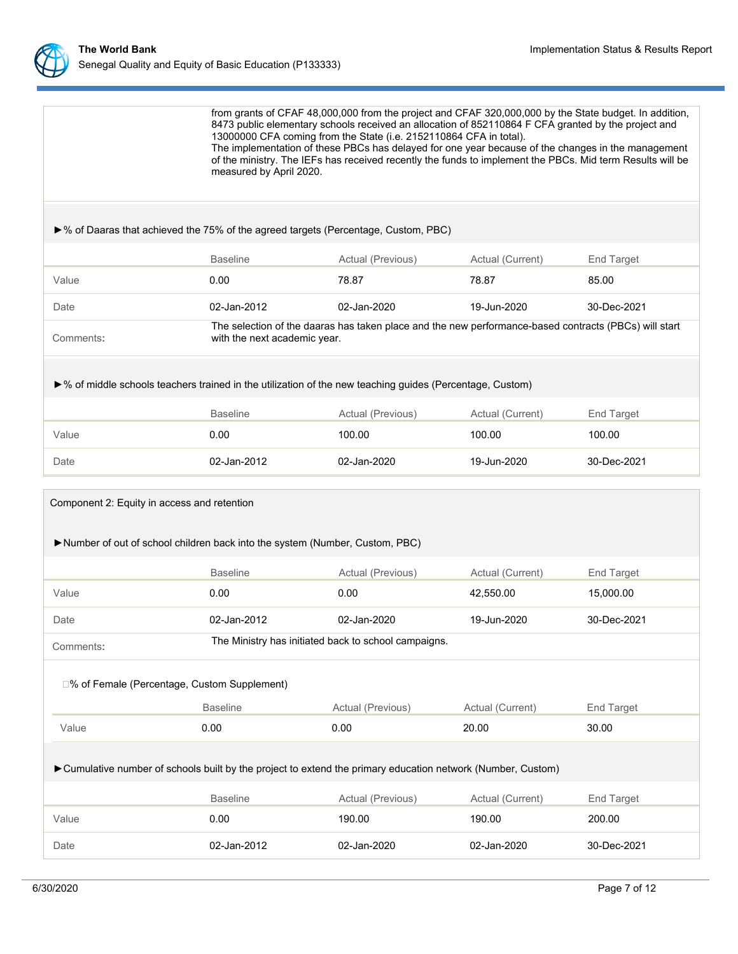

|                                                                                                                            | from grants of CFAF 48,000,000 from the project and CFAF 320,000,000 by the State budget. In addition,<br>8473 public elementary schools received an allocation of 852110864 F CFA granted by the project and<br>13000000 CFA coming from the State (i.e. 2152110864 CFA in total).<br>The implementation of these PBCs has delayed for one year because of the changes in the management<br>of the ministry. The IEFs has received recently the funds to implement the PBCs. Mid term Results will be<br>measured by April 2020. |                                                                                                       |                  |                   |  |  |
|----------------------------------------------------------------------------------------------------------------------------|-----------------------------------------------------------------------------------------------------------------------------------------------------------------------------------------------------------------------------------------------------------------------------------------------------------------------------------------------------------------------------------------------------------------------------------------------------------------------------------------------------------------------------------|-------------------------------------------------------------------------------------------------------|------------------|-------------------|--|--|
| ▶% of Daaras that achieved the 75% of the agreed targets (Percentage, Custom, PBC)                                         |                                                                                                                                                                                                                                                                                                                                                                                                                                                                                                                                   |                                                                                                       |                  |                   |  |  |
|                                                                                                                            | <b>Baseline</b>                                                                                                                                                                                                                                                                                                                                                                                                                                                                                                                   | Actual (Previous)                                                                                     | Actual (Current) | <b>End Target</b> |  |  |
| Value                                                                                                                      | 0.00                                                                                                                                                                                                                                                                                                                                                                                                                                                                                                                              | 78.87                                                                                                 | 78.87            | 85.00             |  |  |
| Date                                                                                                                       | 02-Jan-2012                                                                                                                                                                                                                                                                                                                                                                                                                                                                                                                       | 02-Jan-2020                                                                                           | 19-Jun-2020      | 30-Dec-2021       |  |  |
| Comments:                                                                                                                  | with the next academic year.                                                                                                                                                                                                                                                                                                                                                                                                                                                                                                      | The selection of the daaras has taken place and the new performance-based contracts (PBCs) will start |                  |                   |  |  |
| ▶% of middle schools teachers trained in the utilization of the new teaching guides (Percentage, Custom)                   |                                                                                                                                                                                                                                                                                                                                                                                                                                                                                                                                   |                                                                                                       |                  |                   |  |  |
|                                                                                                                            | <b>Baseline</b>                                                                                                                                                                                                                                                                                                                                                                                                                                                                                                                   | Actual (Previous)                                                                                     | Actual (Current) | <b>End Target</b> |  |  |
| Value                                                                                                                      | 0.00                                                                                                                                                                                                                                                                                                                                                                                                                                                                                                                              | 100.00                                                                                                | 100.00           | 100.00            |  |  |
| Date                                                                                                                       | 02-Jan-2012                                                                                                                                                                                                                                                                                                                                                                                                                                                                                                                       | 02-Jan-2020                                                                                           | 19-Jun-2020      | 30-Dec-2021       |  |  |
| Component 2: Equity in access and retention<br>Number of out of school children back into the system (Number, Custom, PBC) |                                                                                                                                                                                                                                                                                                                                                                                                                                                                                                                                   |                                                                                                       |                  |                   |  |  |
|                                                                                                                            |                                                                                                                                                                                                                                                                                                                                                                                                                                                                                                                                   |                                                                                                       |                  |                   |  |  |
|                                                                                                                            | <b>Baseline</b>                                                                                                                                                                                                                                                                                                                                                                                                                                                                                                                   | Actual (Previous)                                                                                     | Actual (Current) | <b>End Target</b> |  |  |
| Value                                                                                                                      | 0.00                                                                                                                                                                                                                                                                                                                                                                                                                                                                                                                              | 0.00                                                                                                  | 42,550.00        | 15,000.00         |  |  |
| Date                                                                                                                       | 02-Jan-2012                                                                                                                                                                                                                                                                                                                                                                                                                                                                                                                       | 02-Jan-2020                                                                                           | 19-Jun-2020      | 30-Dec-2021       |  |  |
| Comments:                                                                                                                  | The Ministry has initiated back to school campaigns.                                                                                                                                                                                                                                                                                                                                                                                                                                                                              |                                                                                                       |                  |                   |  |  |
| □% of Female (Percentage, Custom Supplement)                                                                               |                                                                                                                                                                                                                                                                                                                                                                                                                                                                                                                                   |                                                                                                       |                  |                   |  |  |
|                                                                                                                            | <b>Baseline</b>                                                                                                                                                                                                                                                                                                                                                                                                                                                                                                                   | Actual (Previous)                                                                                     | Actual (Current) | End Target        |  |  |
| Value                                                                                                                      | 0.00                                                                                                                                                                                                                                                                                                                                                                                                                                                                                                                              | 0.00                                                                                                  | 20.00            | 30.00             |  |  |
| Cumulative number of schools built by the project to extend the primary education network (Number, Custom)                 |                                                                                                                                                                                                                                                                                                                                                                                                                                                                                                                                   |                                                                                                       |                  |                   |  |  |
|                                                                                                                            | <b>Baseline</b>                                                                                                                                                                                                                                                                                                                                                                                                                                                                                                                   | Actual (Previous)                                                                                     | Actual (Current) | End Target        |  |  |
| Value                                                                                                                      | 0.00                                                                                                                                                                                                                                                                                                                                                                                                                                                                                                                              | 190.00                                                                                                | 190.00           | 200.00            |  |  |
| Date                                                                                                                       | 02-Jan-2012                                                                                                                                                                                                                                                                                                                                                                                                                                                                                                                       | 02-Jan-2020                                                                                           | 02-Jan-2020      | 30-Dec-2021       |  |  |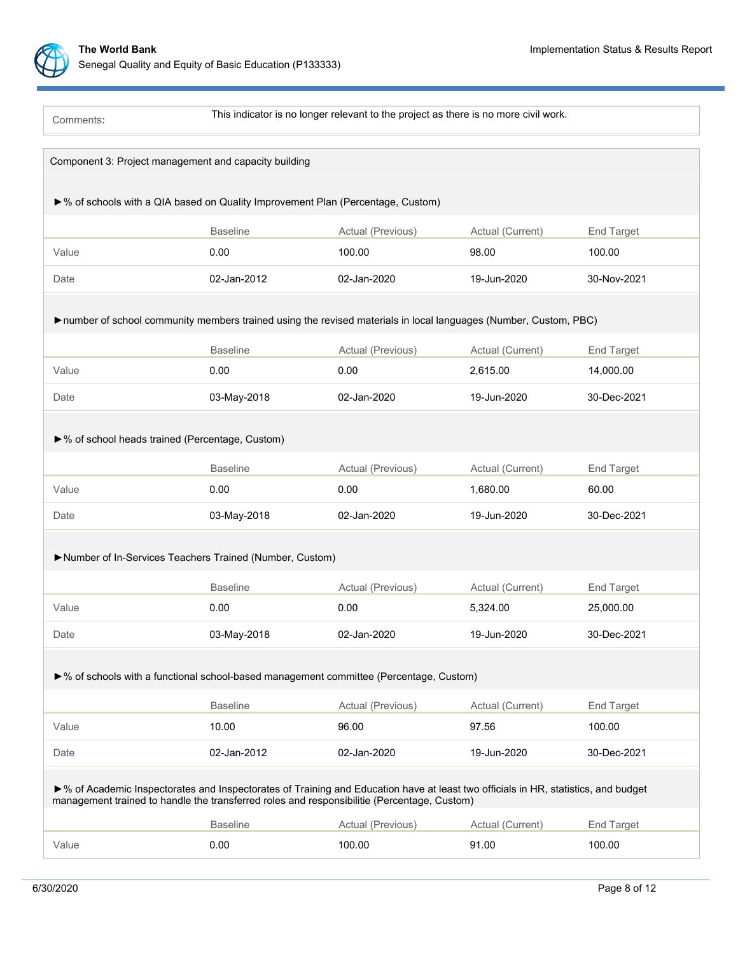Comments**:**

This indicator is no longer relevant to the project as there is no more civil work.

|                                                                                 |                 | Component 3: Project management and capacity building                                                                                                                                                                             |                  |             |  |  |  |
|---------------------------------------------------------------------------------|-----------------|-----------------------------------------------------------------------------------------------------------------------------------------------------------------------------------------------------------------------------------|------------------|-------------|--|--|--|
| ▶% of schools with a QIA based on Quality Improvement Plan (Percentage, Custom) |                 |                                                                                                                                                                                                                                   |                  |             |  |  |  |
|                                                                                 | <b>Baseline</b> | Actual (Previous)                                                                                                                                                                                                                 | Actual (Current) | End Target  |  |  |  |
| Value                                                                           | 0.00            | 100.00                                                                                                                                                                                                                            | 98.00            | 100.00      |  |  |  |
| Date                                                                            | 02-Jan-2012     | 02-Jan-2020                                                                                                                                                                                                                       | 19-Jun-2020      | 30-Nov-2021 |  |  |  |
|                                                                                 |                 | number of school community members trained using the revised materials in local languages (Number, Custom, PBC)                                                                                                                   |                  |             |  |  |  |
|                                                                                 | <b>Baseline</b> | Actual (Previous)                                                                                                                                                                                                                 | Actual (Current) | End Target  |  |  |  |
| Value                                                                           | 0.00            | 0.00                                                                                                                                                                                                                              | 2,615.00         | 14,000.00   |  |  |  |
| Date                                                                            | 03-May-2018     | 02-Jan-2020                                                                                                                                                                                                                       | 19-Jun-2020      | 30-Dec-2021 |  |  |  |
| ▶% of school heads trained (Percentage, Custom)                                 |                 |                                                                                                                                                                                                                                   |                  |             |  |  |  |
|                                                                                 | <b>Baseline</b> | Actual (Previous)                                                                                                                                                                                                                 | Actual (Current) | End Target  |  |  |  |
| Value                                                                           | 0.00            | 0.00                                                                                                                                                                                                                              | 1,680.00         | 60.00       |  |  |  |
| Date                                                                            | 03-May-2018     | 02-Jan-2020                                                                                                                                                                                                                       | 19-Jun-2020      | 30-Dec-2021 |  |  |  |
| Number of In-Services Teachers Trained (Number, Custom)                         |                 |                                                                                                                                                                                                                                   |                  |             |  |  |  |
|                                                                                 |                 |                                                                                                                                                                                                                                   |                  |             |  |  |  |
|                                                                                 | <b>Baseline</b> | Actual (Previous)                                                                                                                                                                                                                 | Actual (Current) | End Target  |  |  |  |
| Value                                                                           | 0.00            | 0.00                                                                                                                                                                                                                              | 5,324.00         | 25,000.00   |  |  |  |
| Date                                                                            | 03-May-2018     | 02-Jan-2020                                                                                                                                                                                                                       | 19-Jun-2020      | 30-Dec-2021 |  |  |  |
|                                                                                 |                 | ▶% of schools with a functional school-based management committee (Percentage, Custom)                                                                                                                                            |                  |             |  |  |  |
|                                                                                 | <b>Baseline</b> | Actual (Previous)                                                                                                                                                                                                                 | Actual (Current) | End Target  |  |  |  |
| Value                                                                           | 10.00           | 96.00                                                                                                                                                                                                                             | 97.56            | 100.00      |  |  |  |
| Date                                                                            | 02-Jan-2012     | 02-Jan-2020                                                                                                                                                                                                                       | 19-Jun-2020      | 30-Dec-2021 |  |  |  |
|                                                                                 |                 | ►% of Academic Inspectorates and Inspectorates of Training and Education have at least two officials in HR, statistics, and budget<br>management trained to handle the transferred roles and responsibilitie (Percentage, Custom) |                  |             |  |  |  |
|                                                                                 | <b>Baseline</b> | Actual (Previous)                                                                                                                                                                                                                 | Actual (Current) | End Target  |  |  |  |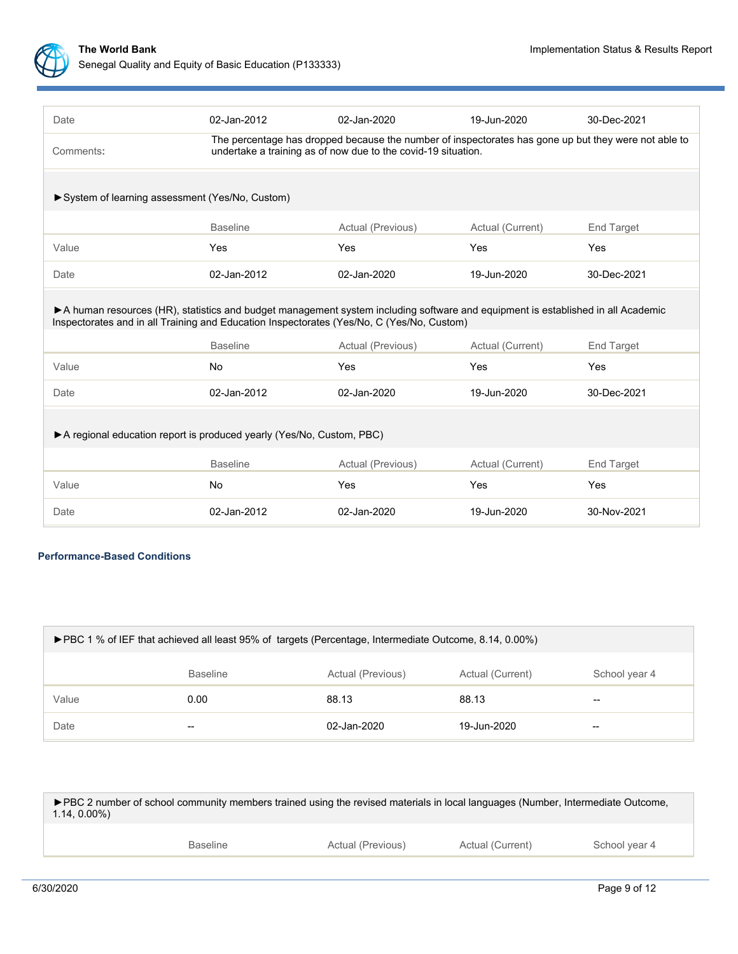

| Date                                                                                                                                                                                                                         | 02-Jan-2012                                                                                                                                                           | 02-Jan-2020       | 19-Jun-2020      | 30-Dec-2021 |  |  |  |
|------------------------------------------------------------------------------------------------------------------------------------------------------------------------------------------------------------------------------|-----------------------------------------------------------------------------------------------------------------------------------------------------------------------|-------------------|------------------|-------------|--|--|--|
| Comments:                                                                                                                                                                                                                    | The percentage has dropped because the number of inspectorates has gone up but they were not able to<br>undertake a training as of now due to the covid-19 situation. |                   |                  |             |  |  |  |
| System of learning assessment (Yes/No, Custom)                                                                                                                                                                               |                                                                                                                                                                       |                   |                  |             |  |  |  |
|                                                                                                                                                                                                                              | <b>Baseline</b>                                                                                                                                                       | Actual (Previous) | Actual (Current) | End Target  |  |  |  |
| Value                                                                                                                                                                                                                        | Yes                                                                                                                                                                   | Yes               | Yes              | Yes         |  |  |  |
| Date                                                                                                                                                                                                                         | 02-Jan-2012                                                                                                                                                           | 02-Jan-2020       | 19-Jun-2020      | 30-Dec-2021 |  |  |  |
| A human resources (HR), statistics and budget management system including software and equipment is established in all Academic<br>Inspectorates and in all Training and Education Inspectorates (Yes/No, C (Yes/No, Custom) |                                                                                                                                                                       |                   |                  |             |  |  |  |
|                                                                                                                                                                                                                              | <b>Baseline</b>                                                                                                                                                       | Actual (Previous) | Actual (Current) | End Target  |  |  |  |
| Value                                                                                                                                                                                                                        | <b>No</b>                                                                                                                                                             | Yes               | Yes              | Yes         |  |  |  |
| Date                                                                                                                                                                                                                         | 02-Jan-2012                                                                                                                                                           | 02-Jan-2020       | 19-Jun-2020      | 30-Dec-2021 |  |  |  |
| A regional education report is produced yearly (Yes/No, Custom, PBC)                                                                                                                                                         |                                                                                                                                                                       |                   |                  |             |  |  |  |
|                                                                                                                                                                                                                              | <b>Baseline</b>                                                                                                                                                       | Actual (Previous) | Actual (Current) | End Target  |  |  |  |
| Value                                                                                                                                                                                                                        | <b>No</b>                                                                                                                                                             | Yes               | Yes              | Yes         |  |  |  |
| Date                                                                                                                                                                                                                         | 02-Jan-2012                                                                                                                                                           | 02-Jan-2020       | 19-Jun-2020      | 30-Nov-2021 |  |  |  |

# **Performance-Based Conditions**

| ▶ PBC 1 % of IEF that achieved all least 95% of targets (Percentage, Intermediate Outcome, 8.14, 0.00%) |                 |                   |                  |               |
|---------------------------------------------------------------------------------------------------------|-----------------|-------------------|------------------|---------------|
|                                                                                                         | <b>Baseline</b> | Actual (Previous) | Actual (Current) | School year 4 |
| Value                                                                                                   | 0.00            | 88.13             | 88.13            | $- -$         |
| Date                                                                                                    | --              | 02-Jan-2020       | 19-Jun-2020      | --            |

►PBC 2 number of school community members trained using the revised materials in local languages (Number, Intermediate Outcome, 1.14, 0.00%)

| <b>Baseline</b> | Actual (Previous) | Actual (Current) | School year 4 |
|-----------------|-------------------|------------------|---------------|
|                 |                   |                  |               |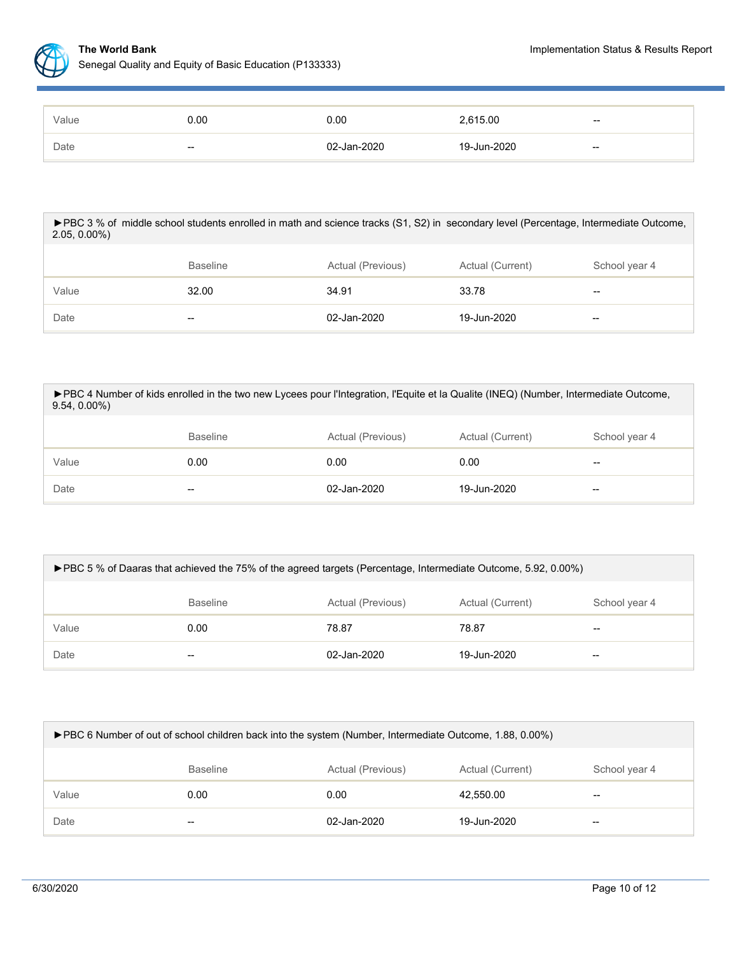

| Value | 0.00  | 0.00        | 2,615.00    | $- -$ |
|-------|-------|-------------|-------------|-------|
| Date  | $- -$ | 02-Jan-2020 | 19-Jun-2020 | $- -$ |

### ►PBC 3 % of middle school students enrolled in math and science tracks (S1, S2) in secondary level (Percentage, Intermediate Outcome, 2.05, 0.00%)

|       | <b>Baseline</b> | Actual (Previous) | Actual (Current) | School year 4                                  |
|-------|-----------------|-------------------|------------------|------------------------------------------------|
| Value | 32.00           | 34.91             | 33.78            | $\hspace{0.1mm}-\hspace{0.1mm}-\hspace{0.1mm}$ |
| Date  | $- -$           | 02-Jan-2020       | 19-Jun-2020      | $\overline{\phantom{m}}$                       |

| ► PBC 4 Number of kids enrolled in the two new Lycees pour l'Integration, l'Equite et la Qualite (INEQ) (Number, Intermediate Outcome,<br>$9.54, 0.00\%$ |                 |                   |                  |               |  |  |
|----------------------------------------------------------------------------------------------------------------------------------------------------------|-----------------|-------------------|------------------|---------------|--|--|
|                                                                                                                                                          | <b>Baseline</b> | Actual (Previous) | Actual (Current) | School year 4 |  |  |
| Value                                                                                                                                                    | 0.00            | 0.00              | 0.00             | $- -$         |  |  |
| Date                                                                                                                                                     | --              | 02-Jan-2020       | 19-Jun-2020      | --            |  |  |

| ▶ PBC 5 % of Daaras that achieved the 75% of the agreed targets (Percentage, Intermediate Outcome, 5.92, 0.00%) |                 |                   |                  |                          |  |
|-----------------------------------------------------------------------------------------------------------------|-----------------|-------------------|------------------|--------------------------|--|
|                                                                                                                 | <b>Baseline</b> | Actual (Previous) | Actual (Current) | School year 4            |  |
| Value                                                                                                           | 0.00            | 78.87             | 78.87            | $\overline{\phantom{m}}$ |  |
| Date                                                                                                            | $- -$           | 02-Jan-2020       | 19-Jun-2020      | --                       |  |

| ► PBC 6 Number of out of school children back into the system (Number, Intermediate Outcome, 1.88, 0.00%) |                                                                           |             |             |    |  |
|-----------------------------------------------------------------------------------------------------------|---------------------------------------------------------------------------|-------------|-------------|----|--|
|                                                                                                           | Actual (Previous)<br>Actual (Current)<br><b>Baseline</b><br>School year 4 |             |             |    |  |
| Value                                                                                                     | 0.00                                                                      | 0.00        | 42.550.00   | -- |  |
| Date                                                                                                      | --                                                                        | 02-Jan-2020 | 19-Jun-2020 | -- |  |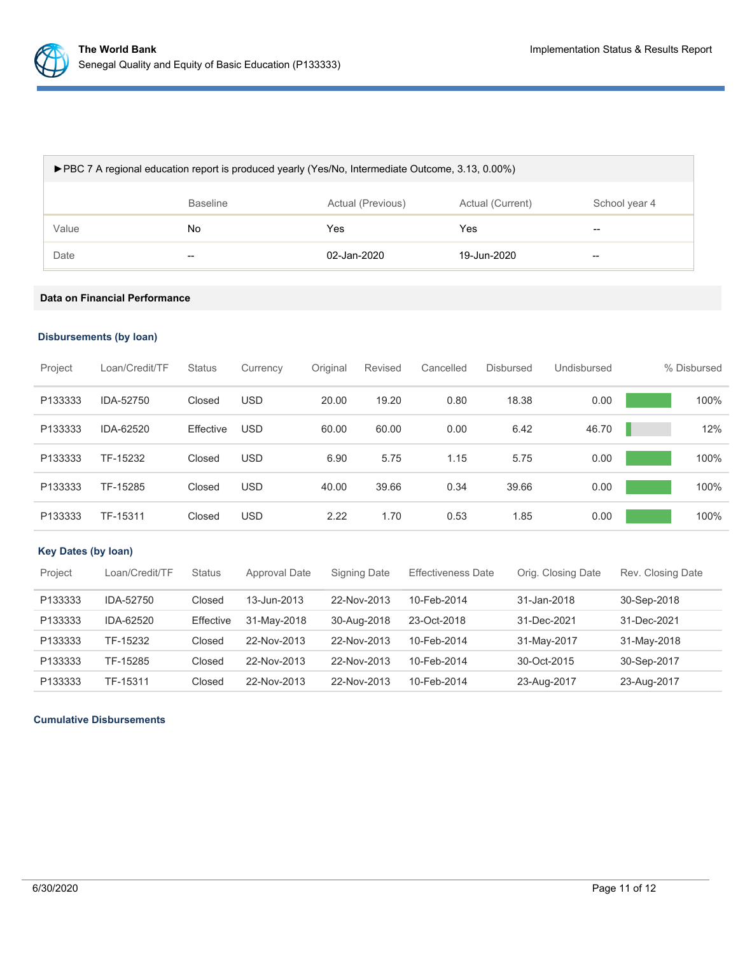

| ► PBC 7 A regional education report is produced yearly (Yes/No, Intermediate Outcome, 3.13, 0.00%) |                                                                           |             |             |    |  |  |
|----------------------------------------------------------------------------------------------------|---------------------------------------------------------------------------|-------------|-------------|----|--|--|
|                                                                                                    | <b>Baseline</b><br>Actual (Previous)<br>Actual (Current)<br>School year 4 |             |             |    |  |  |
| Value                                                                                              | No.                                                                       | Yes         | Yes         | -- |  |  |
| Date                                                                                               | $- -$                                                                     | 02-Jan-2020 | 19-Jun-2020 | -- |  |  |

# **Data on Financial Performance**

# **Disbursements (by loan)**

| Project | Loan/Credit/TF | <b>Status</b> | Currency   | Original | Revised | Cancelled | <b>Disbursed</b> | Undisbursed | % Disbursed |
|---------|----------------|---------------|------------|----------|---------|-----------|------------------|-------------|-------------|
| P133333 | IDA-52750      | Closed        | <b>USD</b> | 20.00    | 19.20   | 0.80      | 18.38            | 0.00        | 100%        |
| P133333 | IDA-62520      | Effective     | <b>USD</b> | 60.00    | 60.00   | 0.00      | 6.42             | 46.70       | 12%         |
| P133333 | TF-15232       | Closed        | <b>USD</b> | 6.90     | 5.75    | 1.15      | 5.75             | 0.00        | 100%        |
| P133333 | TF-15285       | Closed        | <b>USD</b> | 40.00    | 39.66   | 0.34      | 39.66            | 0.00        | 100%        |
| P133333 | TF-15311       | Closed        | <b>USD</b> | 2.22     | 1.70    | 0.53      | 1.85             | 0.00        | 100%        |

# **Key Dates (by loan)**

| Project | Loan/Credit/TF | <b>Status</b> | Approval Date | Signing Date | <b>Effectiveness Date</b> | Orig. Closing Date | Rev. Closing Date |
|---------|----------------|---------------|---------------|--------------|---------------------------|--------------------|-------------------|
| P133333 | IDA-52750      | Closed        | 13-Jun-2013   | 22-Nov-2013  | 10-Feb-2014               | 31-Jan-2018        | 30-Sep-2018       |
| P133333 | IDA-62520      | Effective     | 31-May-2018   | 30-Aug-2018  | 23-Oct-2018               | 31-Dec-2021        | 31-Dec-2021       |
| P133333 | TF-15232       | Closed        | 22-Nov-2013   | 22-Nov-2013  | 10-Feb-2014               | 31-May-2017        | 31-May-2018       |
| P133333 | TF-15285       | Closed        | 22-Nov-2013   | 22-Nov-2013  | 10-Feb-2014               | 30-Oct-2015        | 30-Sep-2017       |
| P133333 | TF-15311       | Closed        | 22-Nov-2013   | 22-Nov-2013  | 10-Feb-2014               | 23-Aug-2017        | 23-Aug-2017       |

## **Cumulative Disbursements**